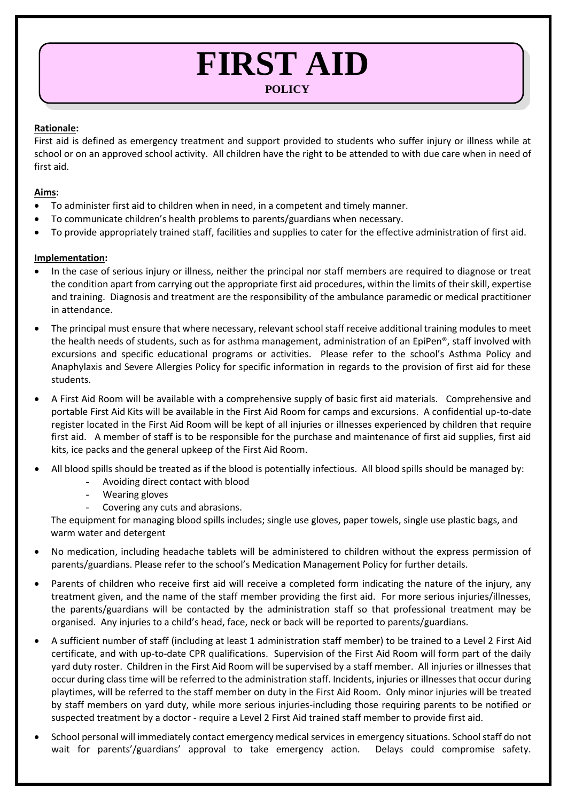# **FIRST AID**

## **POLICY**

#### **Rationale:**

First aid is defined as emergency treatment and support provided to students who suffer injury or illness while at school or on an approved school activity. All children have the right to be attended to with due care when in need of first aid.

### **Aims:**

- To administer first aid to children when in need, in a competent and timely manner.
- To communicate children's health problems to parents/guardians when necessary.
- To provide appropriately trained staff, facilities and supplies to cater for the effective administration of first aid.

### **Implementation:**

- In the case of serious injury or illness, neither the principal nor staff members are required to diagnose or treat the condition apart from carrying out the appropriate first aid procedures, within the limits of their skill, expertise and training. Diagnosis and treatment are the responsibility of the ambulance paramedic or medical practitioner in attendance.
- The principal must ensure that where necessary, relevant school staff receive additional training modules to meet the health needs of students, such as for asthma management, administration of an EpiPen®, staff involved with excursions and specific educational programs or activities. Please refer to the school's Asthma Policy and Anaphylaxis and Severe Allergies Policy for specific information in regards to the provision of first aid for these students.
- A First Aid Room will be available with a comprehensive supply of basic first aid materials. Comprehensive and portable First Aid Kits will be available in the First Aid Room for camps and excursions. A confidential up-to-date register located in the First Aid Room will be kept of all injuries or illnesses experienced by children that require first aid. A member of staff is to be responsible for the purchase and maintenance of first aid supplies, first aid kits, ice packs and the general upkeep of the First Aid Room.
- All blood spills should be treated as if the blood is potentially infectious. All blood spills should be managed by:
	- Avoiding direct contact with blood
	- Wearing gloves
	- Covering any cuts and abrasions.

The equipment for managing blood spills includes; single use gloves, paper towels, single use plastic bags, and warm water and detergent

- No medication, including headache tablets will be administered to children without the express permission of parents/guardians. Please refer to the school's Medication Management Policy for further details.
- Parents of children who receive first aid will receive a completed form indicating the nature of the injury, any treatment given, and the name of the staff member providing the first aid. For more serious injuries/illnesses, the parents/guardians will be contacted by the administration staff so that professional treatment may be organised. Any injuries to a child's head, face, neck or back will be reported to parents/guardians.
- A sufficient number of staff (including at least 1 administration staff member) to be trained to a Level 2 First Aid certificate, and with up-to-date CPR qualifications. Supervision of the First Aid Room will form part of the daily yard duty roster. Children in the First Aid Room will be supervised by a staff member. All injuries or illnesses that occur during class time will be referred to the administration staff. Incidents, injuries or illnesses that occur during playtimes, will be referred to the staff member on duty in the First Aid Room. Only minor injuries will be treated by staff members on yard duty, while more serious injuries-including those requiring parents to be notified or suspected treatment by a doctor - require a Level 2 First Aid trained staff member to provide first aid.
- School personal will immediately contact emergency medical services in emergency situations. School staff do not wait for parents'/guardians' approval to take emergency action. Delays could compromise safety.